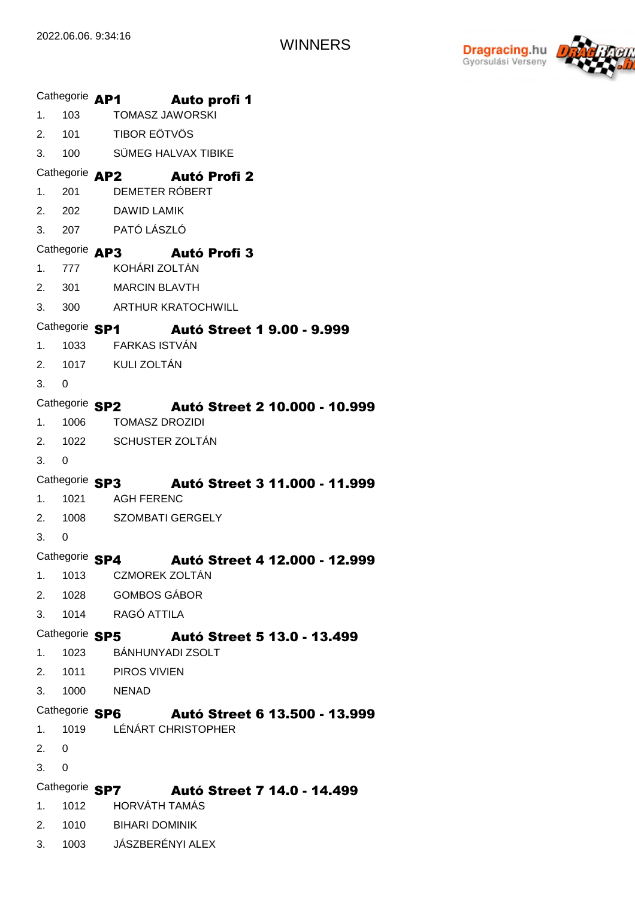

|                                              |                | Cathegorie AP1 Auto profi 1                          |  |  |  |  |  |
|----------------------------------------------|----------------|------------------------------------------------------|--|--|--|--|--|
|                                              |                | 1. 103 TOMASZ JAWORSKI                               |  |  |  |  |  |
|                                              |                | 2. 101 TIBOR EÖTVÖS                                  |  |  |  |  |  |
|                                              |                | 3. 100 SÜMEG HALVAX TIBIKE                           |  |  |  |  |  |
|                                              |                | Cathegorie AP2 Autó Profi 2                          |  |  |  |  |  |
|                                              |                | 1. 201 DEMETER RÓBERT                                |  |  |  |  |  |
|                                              |                | 2. 202 DAWID LAMIK                                   |  |  |  |  |  |
|                                              |                | 3. 207 PATÓ LÁSZLÓ                                   |  |  |  |  |  |
|                                              |                | Cathegorie AP3 Autó Profi 3                          |  |  |  |  |  |
|                                              |                | 1. 777 KOHÁRI ZOLTÁN                                 |  |  |  |  |  |
|                                              |                | 2. 301 MARCIN BLAVTH                                 |  |  |  |  |  |
|                                              |                | 3. 300 ARTHUR KRATOCHWILL                            |  |  |  |  |  |
|                                              |                | Cathegorie SP1 Autó Street 1 9.00 - 9.999            |  |  |  |  |  |
|                                              |                | 1. 1033 FARKAS ISTVÁN                                |  |  |  |  |  |
|                                              |                | 2. 1017 KULI ZOLTÁN                                  |  |  |  |  |  |
| 3.0                                          |                |                                                      |  |  |  |  |  |
| Cathegorie SP2 Autó Street 2 10.000 - 10.999 |                |                                                      |  |  |  |  |  |
|                                              |                | 1. 1006 TOMASZ DROZIDI                               |  |  |  |  |  |
|                                              |                | 2. 1022 SCHUSTER ZOLTÁN                              |  |  |  |  |  |
| 3.0                                          |                |                                                      |  |  |  |  |  |
|                                              |                | Cathegorie SP3 Autó Street 3 11.000 - 11.999         |  |  |  |  |  |
|                                              |                | 1. 1021 AGH FERENC                                   |  |  |  |  |  |
|                                              |                | 2. 1008 SZOMBATI GERGELY                             |  |  |  |  |  |
| 3.0                                          |                |                                                      |  |  |  |  |  |
|                                              | Cathegorie SP4 | Autó Street 4 12.000 - 12.999                        |  |  |  |  |  |
| 1.                                           |                | 1013 CZMOREK ZOLTÁN                                  |  |  |  |  |  |
| 2.                                           |                | 1028 GOMBOS GÁBOR                                    |  |  |  |  |  |
| 3.                                           |                | 1014 RAGÓ ATTILA                                     |  |  |  |  |  |
|                                              |                | Cathegorie SP5 Autó Street 5 13.0 - 13.499           |  |  |  |  |  |
| 1.                                           | 1023           | BÁNHUNYADI ZSOLT                                     |  |  |  |  |  |
|                                              |                | 2. 1011 PIROS VIVIEN                                 |  |  |  |  |  |
| 3.                                           |                | 1000 NENAD                                           |  |  |  |  |  |
|                                              |                | Cathegorie SP6 Autó Street 6 13.500 - 13.999         |  |  |  |  |  |
| 1.                                           | 1019           | LÉNÁRT CHRISTOPHER                                   |  |  |  |  |  |
| 2.                                           | 0              |                                                      |  |  |  |  |  |
| 3.                                           | $\mathbf 0$    |                                                      |  |  |  |  |  |
|                                              |                | Cathegorie SP7<br><b>Autó Street 7 14.0 - 14.499</b> |  |  |  |  |  |
| 1.                                           | 1012           | <b>HORVÁTH TAMÁS</b>                                 |  |  |  |  |  |
| 2.                                           |                | 1010 BIHARI DOMINIK                                  |  |  |  |  |  |
| 3.                                           |                | 1003 JÁSZBERÉNYI ALEX                                |  |  |  |  |  |